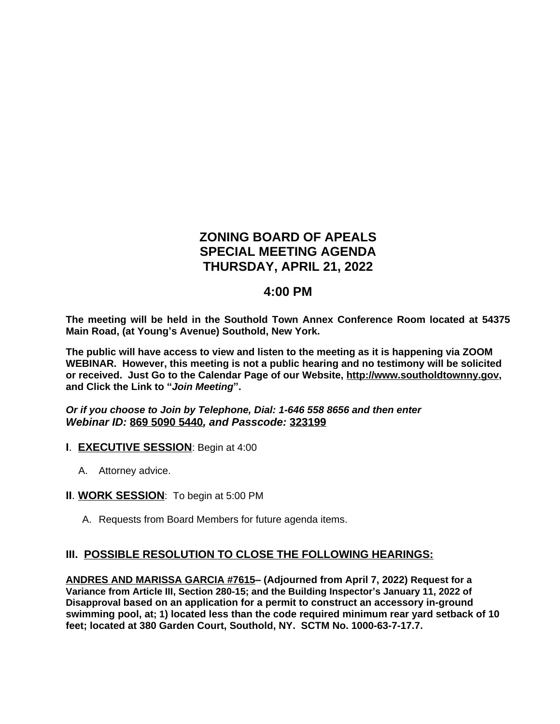# **ZONING BOARD OF APEALS SPECIAL MEETING AGENDA THURSDAY, APRIL 21, 2022**

## **4:00 PM**

**The meeting will be held in the Southold Town Annex Conference Room located at 54375 Main Road, (at Young's Avenue) Southold, New York.**

**The public will have access to view and listen to the meeting as it is happening via ZOOM WEBINAR. However, this meeting is not a public hearing and no testimony will be solicited or received. Just Go to the Calendar Page of our Website, [http://www.southoldtownny.gov,](http://www.southoldtownny.gov) and Click the Link to "***Join Meeting***".**

*Or if you choose to Join by Telephone, Dial: 1-646 558 8656 and then enter Webinar ID:* **869 5090 5440***, and Passcode:* **323199**

- **I**. **EXECUTIVE SESSION**: Begin at 4:00
	- A. Attorney advice.
- **II**. **WORK SESSION**: To begin at 5:00 PM
	- A. Requests from Board Members for future agenda items.

#### **III. POSSIBLE RESOLUTION TO CLOSE THE FOLLOWING HEARINGS:**

**ANDRES AND MARISSA GARCIA #7615– (Adjourned from April 7, 2022) Request for a Variance from Article III, Section 280-15; and the Building Inspector's January 11, 2022 of Disapproval based on an application for a permit to construct an accessory in-ground swimming pool, at; 1) located less than the code required minimum rear yard setback of 10 feet; located at 380 Garden Court, Southold, NY. SCTM No. 1000-63-7-17.7.**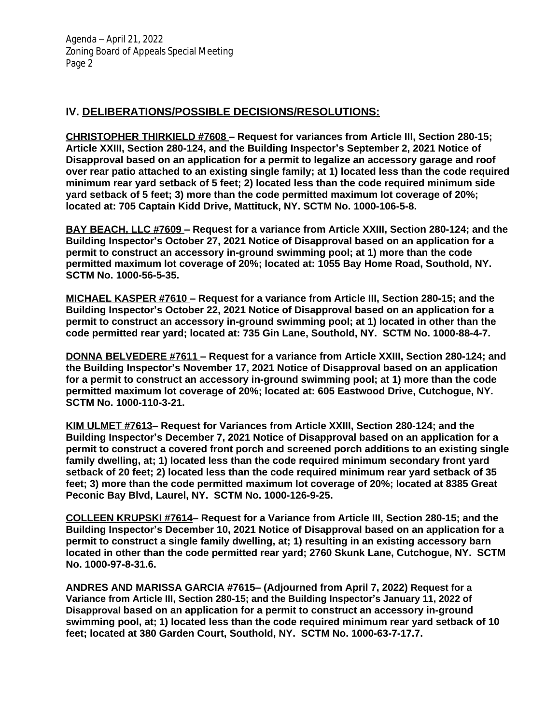### **IV. DELIBERATIONS/POSSIBLE DECISIONS/RESOLUTIONS:**

**CHRISTOPHER THIRKIELD #7608 – Request for variances from Article III, Section 280-15; Article XXIII, Section 280-124, and the Building Inspector's September 2, 2021 Notice of Disapproval based on an application for a permit to legalize an accessory garage and roof over rear patio attached to an existing single family; at 1) located less than the code required minimum rear yard setback of 5 feet; 2) located less than the code required minimum side yard setback of 5 feet; 3) more than the code permitted maximum lot coverage of 20%; located at: 705 Captain Kidd Drive, Mattituck, NY. SCTM No. 1000-106-5-8.** 

**BAY BEACH, LLC #7609 – Request for a variance from Article XXIII, Section 280-124; and the Building Inspector's October 27, 2021 Notice of Disapproval based on an application for a permit to construct an accessory in-ground swimming pool; at 1) more than the code permitted maximum lot coverage of 20%; located at: 1055 Bay Home Road, Southold, NY. SCTM No. 1000-56-5-35.** 

**MICHAEL KASPER #7610 – Request for a variance from Article III, Section 280-15; and the Building Inspector's October 22, 2021 Notice of Disapproval based on an application for a permit to construct an accessory in-ground swimming pool; at 1) located in other than the code permitted rear yard; located at: 735 Gin Lane, Southold, NY. SCTM No. 1000-88-4-7.** 

**DONNA BELVEDERE #7611 – Request for a variance from Article XXIII, Section 280-124; and the Building Inspector's November 17, 2021 Notice of Disapproval based on an application for a permit to construct an accessory in-ground swimming pool; at 1) more than the code permitted maximum lot coverage of 20%; located at: 605 Eastwood Drive, Cutchogue, NY. SCTM No. 1000-110-3-21.** 

**KIM ULMET #7613– Request for Variances from Article XXIII, Section 280-124; and the Building Inspector's December 7, 2021 Notice of Disapproval based on an application for a permit to construct a covered front porch and screened porch additions to an existing single family dwelling, at; 1) located less than the code required minimum secondary front yard setback of 20 feet; 2) located less than the code required minimum rear yard setback of 35 feet; 3) more than the code permitted maximum lot coverage of 20%; located at 8385 Great Peconic Bay Blvd, Laurel, NY. SCTM No. 1000-126-9-25.**

**COLLEEN KRUPSKI #7614– Request for a Variance from Article III, Section 280-15; and the Building Inspector's December 10, 2021 Notice of Disapproval based on an application for a permit to construct a single family dwelling, at; 1) resulting in an existing accessory barn located in other than the code permitted rear yard; 2760 Skunk Lane, Cutchogue, NY. SCTM No. 1000-97-8-31.6.**

**ANDRES AND MARISSA GARCIA #7615– (Adjourned from April 7, 2022) Request for a Variance from Article III, Section 280-15; and the Building Inspector's January 11, 2022 of Disapproval based on an application for a permit to construct an accessory in-ground swimming pool, at; 1) located less than the code required minimum rear yard setback of 10 feet; located at 380 Garden Court, Southold, NY. SCTM No. 1000-63-7-17.7.**